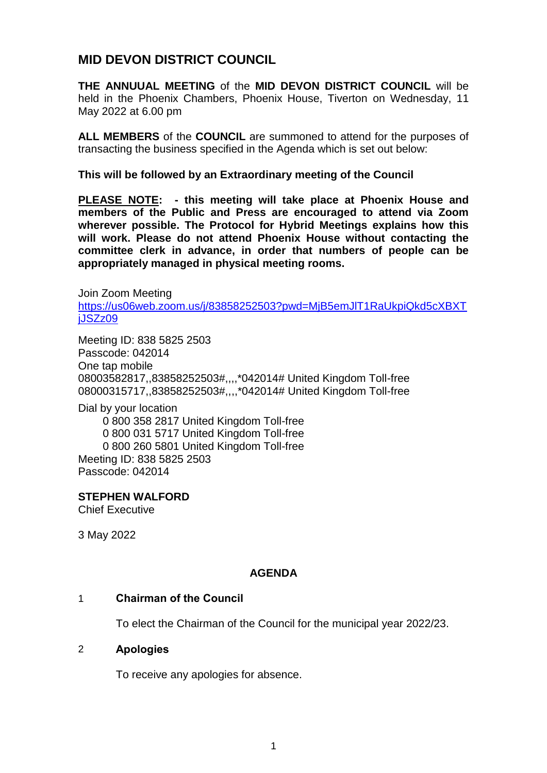# **MID DEVON DISTRICT COUNCIL**

**THE ANNUUAL MEETING** of the **MID DEVON DISTRICT COUNCIL** will be held in the Phoenix Chambers, Phoenix House, Tiverton on Wednesday, 11 May 2022 at 6.00 pm

**ALL MEMBERS** of the **COUNCIL** are summoned to attend for the purposes of transacting the business specified in the Agenda which is set out below:

**This will be followed by an Extraordinary meeting of the Council**

**PLEASE NOTE: - this meeting will take place at Phoenix House and members of the Public and Press are encouraged to attend via Zoom wherever possible. The Protocol for Hybrid Meetings explains how this will work. Please do not attend Phoenix House without contacting the committee clerk in advance, in order that numbers of people can be appropriately managed in physical meeting rooms.** 

Join Zoom Meeting [https://us06web.zoom.us/j/83858252503?pwd=MjB5emJlT1RaUkpiQkd5cXBXT](https://us06web.zoom.us/j/83858252503?pwd=MjB5emJlT1RaUkpiQkd5cXBXTjJSZz09) iJSZz09

Meeting ID: 838 5825 2503 Passcode: 042014 One tap mobile 08003582817,,83858252503#,,,,\*042014# United Kingdom Toll-free 08000315717,,83858252503#,,,,\*042014# United Kingdom Toll-free

Dial by your location 0 800 358 2817 United Kingdom Toll-free 0 800 031 5717 United Kingdom Toll-free 0 800 260 5801 United Kingdom Toll-free Meeting ID: 838 5825 2503 Passcode: 042014

**STEPHEN WALFORD**

Chief Executive

3 May 2022

## **AGENDA**

## 1 **Chairman of the Council**

To elect the Chairman of the Council for the municipal year 2022/23.

#### 2 **Apologies**

To receive any apologies for absence.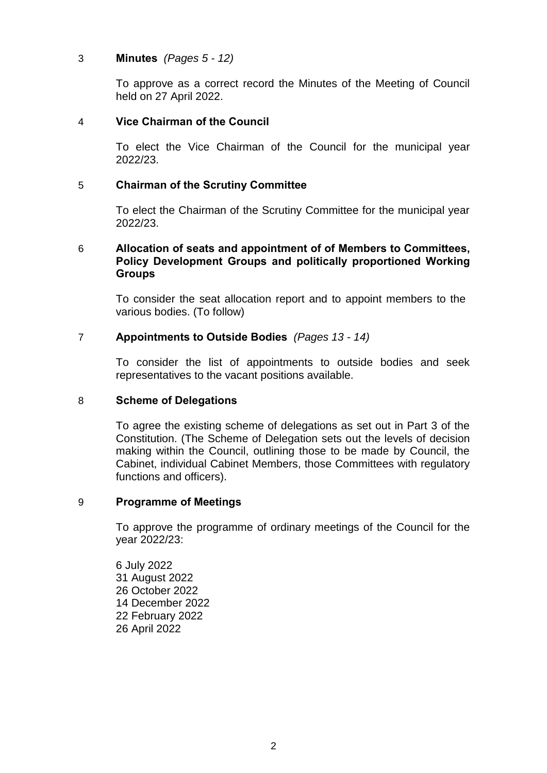## 3 **Minutes** *(Pages 5 - 12)*

To approve as a correct record the Minutes of the Meeting of Council held on 27 April 2022.

## 4 **Vice Chairman of the Council**

To elect the Vice Chairman of the Council for the municipal year 2022/23.

## 5 **Chairman of the Scrutiny Committee**

To elect the Chairman of the Scrutiny Committee for the municipal year 2022/23.

## 6 **Allocation of seats and appointment of of Members to Committees, Policy Development Groups and politically proportioned Working Groups**

To consider the seat allocation report and to appoint members to the various bodies. (To follow)

## 7 **Appointments to Outside Bodies** *(Pages 13 - 14)*

To consider the list of appointments to outside bodies and seek representatives to the vacant positions available.

## 8 **Scheme of Delegations**

To agree the existing scheme of delegations as set out in Part 3 of the Constitution. (The Scheme of Delegation sets out the levels of decision making within the Council, outlining those to be made by Council, the Cabinet, individual Cabinet Members, those Committees with regulatory functions and officers).

## 9 **Programme of Meetings**

To approve the programme of ordinary meetings of the Council for the year 2022/23:

6 July 2022 31 August 2022 26 October 2022 14 December 2022 22 February 2022 26 April 2022